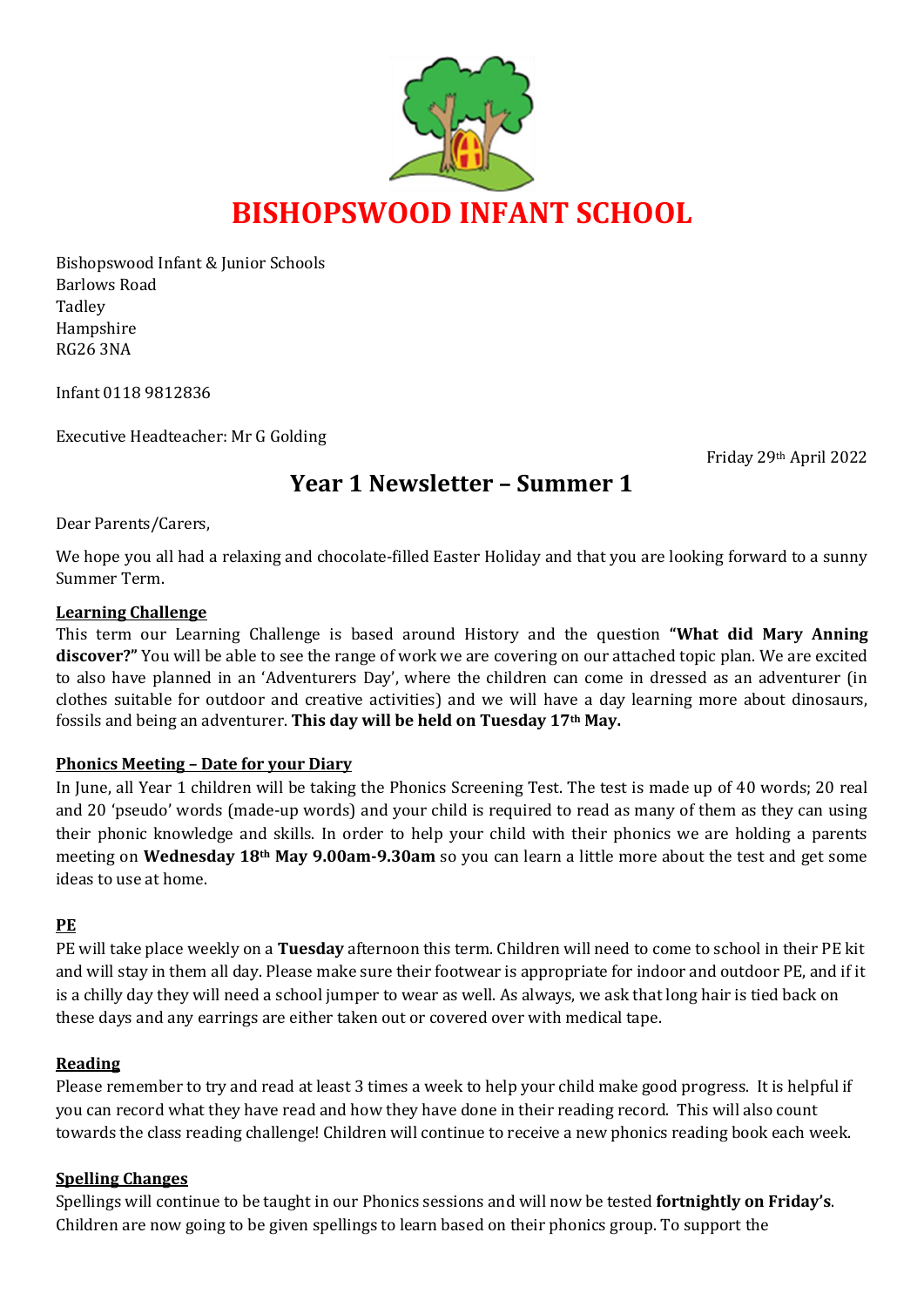

Bishopswood Infant & Junior Schools Barlows Road Tadley Hampshire RG26 3NA

Infant 0118 9812836

Executive Headteacher: Mr G Golding

Friday 29th April 2022

# **Year 1 Newsletter – Summer 1**

Dear Parents/Carers,

We hope you all had a relaxing and chocolate-filled Easter Holiday and that you are looking forward to a sunny Summer Term.

#### **Learning Challenge**

This term our Learning Challenge is based around History and the question **"What did Mary Anning discover?"** You will be able to see the range of work we are covering on our attached topic plan. We are excited to also have planned in an 'Adventurers Day', where the children can come in dressed as an adventurer (in clothes suitable for outdoor and creative activities) and we will have a day learning more about dinosaurs, fossils and being an adventurer. **This day will be held on Tuesday 17th May.**

#### **Phonics Meeting – Date for your Diary**

In June, all Year 1 children will be taking the Phonics Screening Test. The test is made up of 40 words; 20 real and 20 'pseudo' words (made-up words) and your child is required to read as many of them as they can using their phonic knowledge and skills. In order to help your child with their phonics we are holding a parents meeting on **Wednesday 18th May 9.00am-9.30am** so you can learn a little more about the test and get some ideas to use at home.

#### **PE**

PE will take place weekly on a **Tuesday** afternoon this term. Children will need to come to school in their PE kit and will stay in them all day. Please make sure their footwear is appropriate for indoor and outdoor PE, and if it is a chilly day they will need a school jumper to wear as well. As always, we ask that long hair is tied back on these days and any earrings are either taken out or covered over with medical tape.

#### **Reading**

Please remember to try and read at least 3 times a week to help your child make good progress. It is helpful if you can record what they have read and how they have done in their reading record. This will also count towards the class reading challenge! Children will continue to receive a new phonics reading book each week.

#### **Spelling Changes**

Spellings will continue to be taught in our Phonics sessions and will now be tested **fortnightly on Friday's**. Children are now going to be given spellings to learn based on their phonics group. To support the